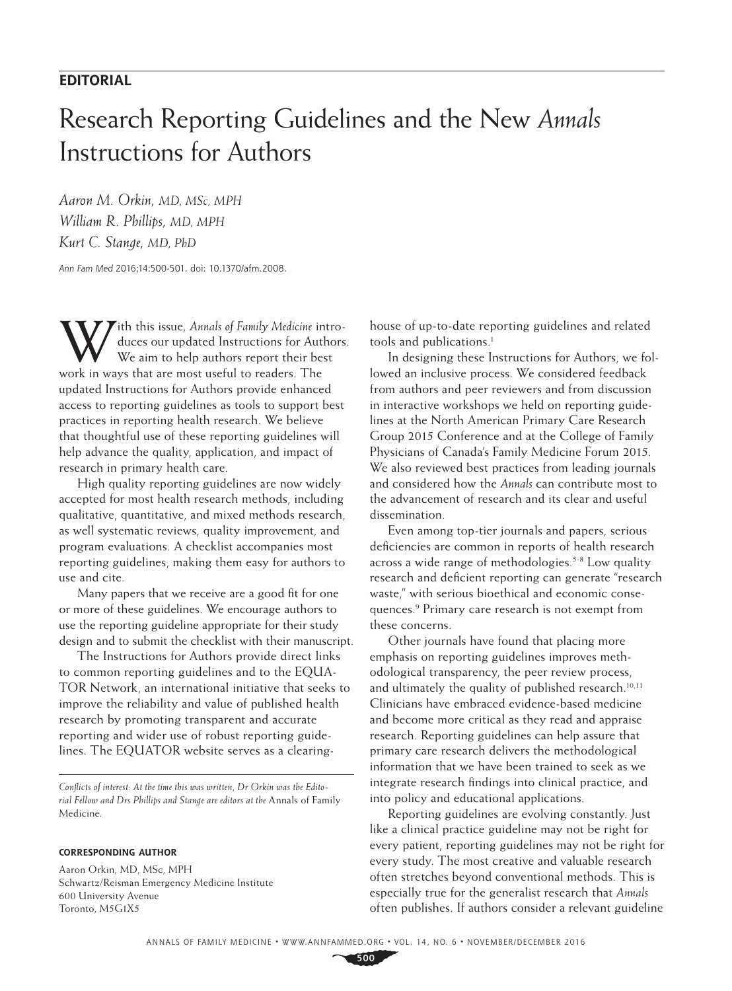## **EDITORIAL**

## Research Reporting Guidelines and the New *Annals*  Instructions for Authors

*Aaron M. Orkin, MD, MSc, MPH William R. Phillips, MD, MPH Kurt C. Stange, MD, PhD*

*Ann Fam Med* 2016;14:500-501. doi: 10.1370/afm.2008.

With this issue, *Annals of Family Medicine* introduces our updated Instructions for Authors. We aim to help authors report their best work in ways that are most useful to readers. The updated Instructions for Authors provide enhanced access to reporting guidelines as tools to support best practices in reporting health research. We believe that thoughtful use of these reporting guidelines will help advance the quality, application, and impact of research in primary health care.

High quality reporting guidelines are now widely accepted for most health research methods, including qualitative, quantitative, and mixed methods research, as well systematic reviews, quality improvement, and program evaluations. A checklist accompanies most reporting guidelines, making them easy for authors to use and cite.

Many papers that we receive are a good fit for one or more of these guidelines. We encourage authors to use the reporting guideline appropriate for their study design and to submit the checklist with their manuscript.

The Instructions for Authors provide direct links to common reporting guidelines and to the EQUA-TOR Network, an international initiative that seeks to improve the reliability and value of published health research by promoting transparent and accurate reporting and wider use of robust reporting guidelines. The EQUATOR website serves as a clearing-

*Conflicts of interest: At the time this was written, Dr Orkin was the Editorial Fellow and Drs Phillips and Stange are editors at the* Annals of Family Medicine.

## **CORRESPONDING AUTHOR**

Aaron Orkin, MD, MSc, MPH Schwartz/Reisman Emergency Medicine Institute 600 University Avenue Toronto, M5G1X5

house of up-to-date reporting guidelines and related tools and publications.<sup>1</sup>

In designing these Instructions for Authors, we followed an inclusive process. We considered feedback from authors and peer reviewers and from discussion in interactive workshops we held on reporting guidelines at the North American Primary Care Research Group 2015 Conference and at the College of Family Physicians of Canada's Family Medicine Forum 2015. We also reviewed best practices from leading journals and considered how the *Annals* can contribute most to the advancement of research and its clear and useful dissemination.

Even among top-tier journals and papers, serious deficiencies are common in reports of health research across a wide range of methodologies.<sup>5-8</sup> Low quality research and deficient reporting can generate "research waste," with serious bioethical and economic consequences.9 Primary care research is not exempt from these concerns.

Other journals have found that placing more emphasis on reporting guidelines improves methodological transparency, the peer review process, and ultimately the quality of published research.<sup>10,11</sup> Clinicians have embraced evidence-based medicine and become more critical as they read and appraise research. Reporting guidelines can help assure that primary care research delivers the methodological information that we have been trained to seek as we integrate research findings into clinical practice, and into policy and educational applications.

Reporting guidelines are evolving constantly. Just like a clinical practice guideline may not be right for every patient, reporting guidelines may not be right for every study. The most creative and valuable research often stretches beyond conventional methods. This is especially true for the generalist research that *Annals* often publishes. If authors consider a relevant guideline